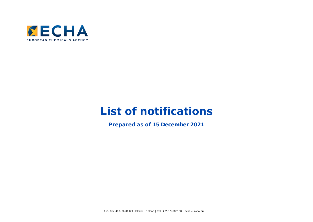

## **List of notifications**

**Prepared as of 15 December 2021**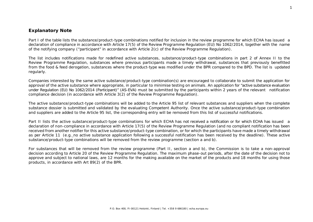## **Explanatory Note**

Part I of the table lists the substance/product-type combinations notified for inclusion in the review programme for which ECHA has issued a declaration of compliance in accordance with Article 17(5) of the Review Programme Regulation (EU) No 1062/2014, together with the name of the notifying company ("participant" in accordance with Article 2(c) of the Review Programme Regulation).

The list includes notifications made for redefined active substances, substance/product-type combinations in part 2 of Annex II to the Review Programme Regulation, substances where previous participants made a timely withdrawal, substances that previously benefitted from the food & feed derogation, substances where the product-type was modified under the BPR compared to the BPD. The list is updated regularly.

Companies interested by the same active substance/product-type combination(s) are encouraged to collaborate to submit the application for approval of the active substance where appropriate, in particular to minimise testing on animals. An application for "active substance evaluation under Regulation (EU) No 1062/2014 (Participant)" (AS-EVA) must be submitted by the participants within 2 years of the relevant notification compliance decision (in accordance with Article 3(2) of the Review Programme Regulation).

The active substance/product-type combinations will be added to the Article 95 list of relevant substances and suppliers when the complete substance dossier is submitted and validated by the evaluating Competent Authority. Once the active substance/product-type combination and suppliers are added to the Article 95 list, the corresponding entry will be removed from this list of successful notifications.

Part II lists the active substance/product-type combinations for which ECHA has not received a notification or for which ECHA has issued a declaration of non-compliance in accordance with Article 17(5) of the Review Programme Regulation (and no compliant notification has been received from another notifier for this active substance/product-type combination, or for which the participants have made a timely withdrawal as per Article 11 (e.g. no active substance application following a successful notification has been received by the deadline). These active substance/product-type combinations will be removed from the review programme (section a and b).

For substances that will be removed from the review programme (Part II, section a and b), the Commission is to take a non-approval decision according to Article 20 of the Review Programme Regulation. The maximum phase-out periods, after the date of the decision not to approve and subject to national laws, are 12 months for the making available on the market of the products and 18 months for using those products, in accordance with Art 89(2) of the BPR.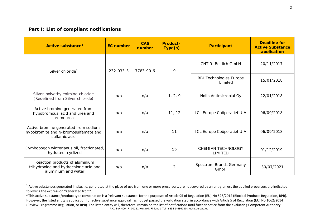## <span id="page-2-1"></span><span id="page-2-0"></span>**Part I: List of compliant notifications**

| Active substance <sup>1</sup>                                                                   | <b>EC</b> number | <b>CAS</b><br>number | <b>Product-</b><br>Type(s) | <b>Participant</b>                          | <b>Deadline for</b><br><b>Active Substance</b><br>application |
|-------------------------------------------------------------------------------------------------|------------------|----------------------|----------------------------|---------------------------------------------|---------------------------------------------------------------|
| 232-033-3<br>Silver chloride <sup>2</sup>                                                       | 7783-90-6        | 9                    | CHT R. Beitlich GmbH       | 20/11/2017                                  |                                                               |
|                                                                                                 |                  |                      |                            | <b>BBI Technologies Europe</b><br>I imited  | 15/01/2018                                                    |
| Silver-polyethylenimine-chloride<br>(Redefined from Silver chloride)                            | n/a              | n/a                  | 1, 2, 9                    | Nolla Antimicrobial Oy                      | 22/01/2018                                                    |
| Active bromine generated from<br>hypobromous acid and urea and<br>bromourea                     | n/a              | n/a                  | 11, 12                     | ICL Europe Coöperatief U.A                  | 06/09/2018                                                    |
| Active bromine generated from sodium<br>hypobromite and N-bromosulfamate and<br>sulfamic acid   | n/a              | n/a                  | 11                         | ICL Europe Coöperatief U.A                  | 06/09/2018                                                    |
| Cymbopogon winterianus oil, fractionated,<br>hydrated, cyclized                                 | n/a              | n/a                  | 19                         | <b>CHEMIAN TECHNOLOGY</b><br><b>LIMITED</b> | 01/12/2019                                                    |
| Reaction products of aluminium<br>trihydroxide and hydrochloric acid and<br>aluminium and water | n/a              | n/a                  | 2                          | Spectrum Brands Germany<br>GmbH             | 30/07/2021                                                    |

 $1$  Active substances generated in situ, i.e. generated at the place of use from one or more precursors, are not covered by an entry unless the applied precursors are indicated following the expression "generated from".

P.O. Box 400, FI-00121 Helsinki, Finland | Tel. +358 9 686180 | echa.europa.eu <sup>2</sup> This active substance/product type combination is a 'relevant substance' for the purposes of Article 95 of Regulation (EU) No 528/2012 (Biocidal Products Regulation, BPR). However, the listed entity's application for active substance approval has not yet passed the validation step, in accordance with Article 5 of Regulation (EU) No 1062/2014 (Review Programme Regulation, or RPR). The listed entity will, therefore, remain on the list of notifications until further notice from the evaluating Competent Authority.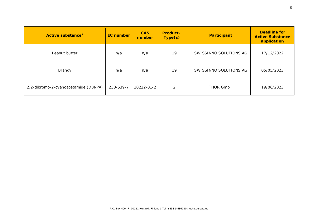| Active substance <sup>1</sup>        | <b>EC</b> number | <b>CAS</b><br>number | <b>Product-</b><br>Type(s) | <b>Participant</b>     | <b>Deadline for</b><br><b>Active Substance</b><br>application |
|--------------------------------------|------------------|----------------------|----------------------------|------------------------|---------------------------------------------------------------|
| Peanut butter                        | n/a              | n/a                  | 19                         | SWISSINNO SOLUTIONS AG | 17/12/2022                                                    |
| Brandy                               | n/a              | n/a                  | 19                         | SWISSINNO SOLUTIONS AG | 05/05/2023                                                    |
| 2,2-dibromo-2-cyanoacetamide (DBNPA) | 233-539-7        | 10222-01-2           | $\mathcal{P}$              | <b>THOR GmbH</b>       | 19/06/2023                                                    |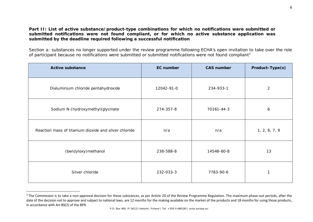## <span id="page-4-0"></span>**Part II: List of active substance/product-type combinations for which no notifications were submitted or submitted notifications were not found compliant, or for which no active substance application was submitted by the deadline required following a successful notification**

Section a: substances no longer supported under the review programme following ECHA's open invitation to take over the role of participant because no notifications were submitted or submitted notifications were not found compliant<sup>[3](#page-4-0)</sup>

| <b>Active substance</b>                               | <b>EC</b> number | <b>CAS number</b> | Product-Type(s) |
|-------------------------------------------------------|------------------|-------------------|-----------------|
| Dialuminium chloride pentahydroxide                   | 12042-91-0       | 234-933-1         | $\overline{2}$  |
| Sodium N-(hydroxymethyl)glycinate                     | 274-357-8        | 70161-44-3        | 6               |
| Reaction mass of titanium dioxide and silver chloride | n/a              | n/a               | 1, 2, 6, 7, 9   |
| (benzyloxy) methanol                                  | 238-588-8        | 14548-60-8        | 13              |
| Silver chloride                                       | 232-033-3        | 7783-90-6         |                 |

<sup>&</sup>lt;sup>3</sup> The Commission is to take a non-approval decision for these substances, as per Article 20 of the Review Programme Regulation. The maximum phase-out periods, after the date of the decision not to approve and subject to national laws, are 12 months for the making available on the market of the products and 18 months for using those products, in accordance with Art 89(2) of the BPR.